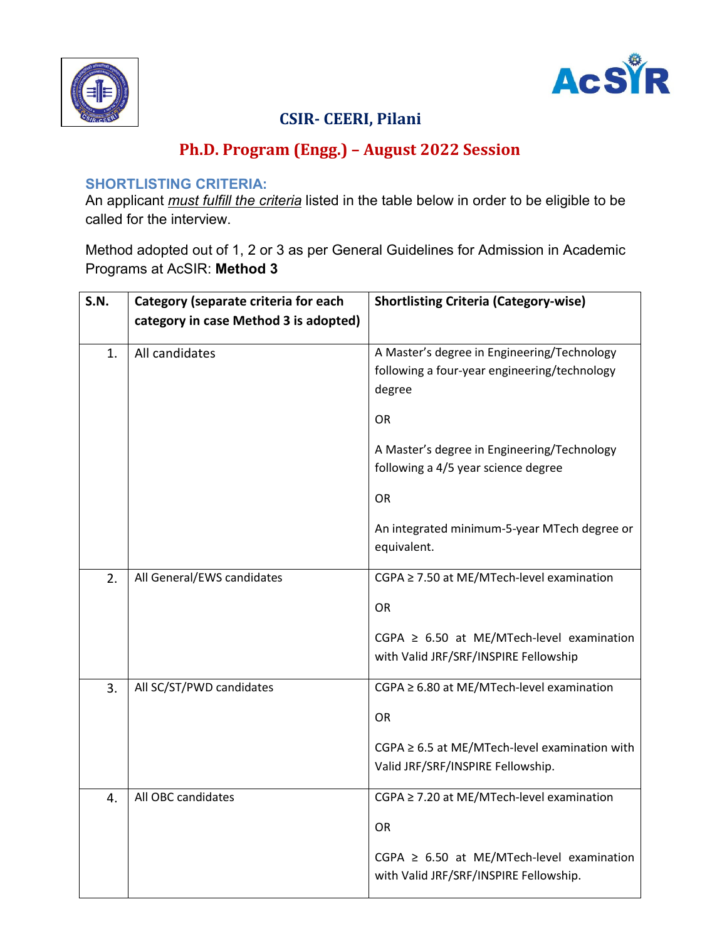



# CSIR- CEERI, Pilani

# Ph.D. Program (Engg.) – August 2022 Session

#### SHORTLISTING CRITERIA:

An applicant *must fulfill the criteria* listed in the table below in order to be eligible to be called for the interview.

Method adopted out of 1, 2 or 3 as per General Guidelines for Admission in Academic Programs at AcSIR: Method 3

| S.N.             | Category (separate criteria for each  | <b>Shortlisting Criteria (Category-wise)</b>                                                          |  |  |
|------------------|---------------------------------------|-------------------------------------------------------------------------------------------------------|--|--|
|                  | category in case Method 3 is adopted) |                                                                                                       |  |  |
| 1.               | All candidates                        | A Master's degree in Engineering/Technology<br>following a four-year engineering/technology<br>degree |  |  |
|                  |                                       | OR                                                                                                    |  |  |
|                  |                                       | A Master's degree in Engineering/Technology<br>following a 4/5 year science degree                    |  |  |
|                  |                                       | OR                                                                                                    |  |  |
|                  |                                       | An integrated minimum-5-year MTech degree or<br>equivalent.                                           |  |  |
| 2.               | All General/EWS candidates            | CGPA ≥ 7.50 at ME/MTech-level examination                                                             |  |  |
|                  |                                       | <b>OR</b>                                                                                             |  |  |
|                  |                                       | CGPA $\geq$ 6.50 at ME/MTech-level examination<br>with Valid JRF/SRF/INSPIRE Fellowship               |  |  |
| 3.               | All SC/ST/PWD candidates              | CGPA ≥ 6.80 at ME/MTech-level examination                                                             |  |  |
|                  |                                       | OR                                                                                                    |  |  |
|                  |                                       | $CGPA \geq 6.5$ at ME/MTech-level examination with<br>Valid JRF/SRF/INSPIRE Fellowship.               |  |  |
| $\overline{4}$ . | All OBC candidates                    | CGPA ≥ 7.20 at ME/MTech-level examination                                                             |  |  |
|                  |                                       | <b>OR</b>                                                                                             |  |  |
|                  |                                       | CGPA $\geq$ 6.50 at ME/MTech-level examination<br>with Valid JRF/SRF/INSPIRE Fellowship.              |  |  |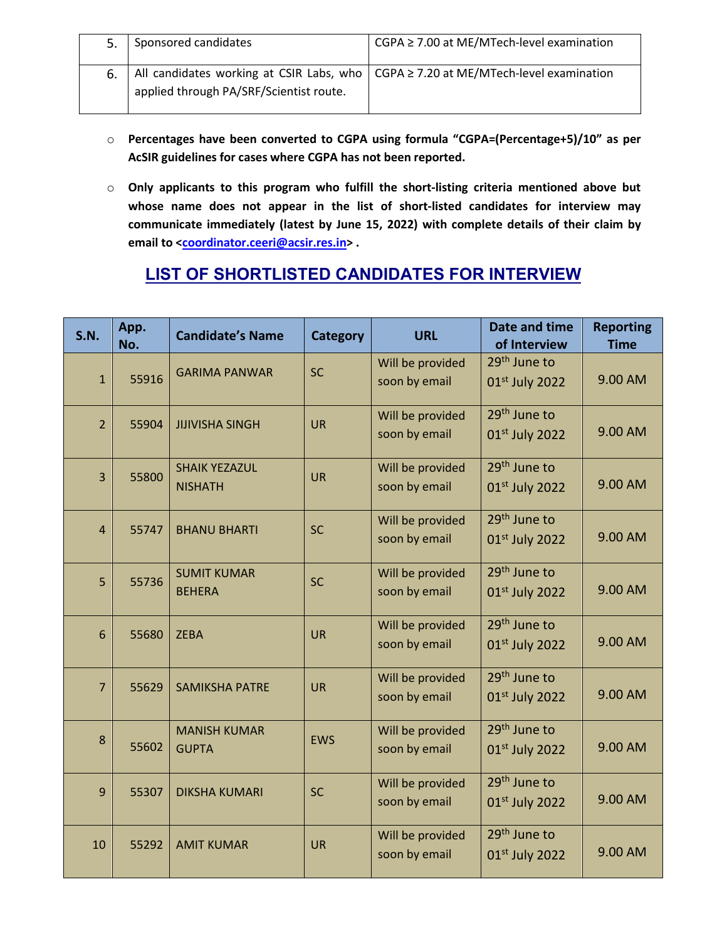|    | Sponsored candidates                    | $CGPA \ge 7.00$ at ME/MTech-level examination                                            |
|----|-----------------------------------------|------------------------------------------------------------------------------------------|
| 6. | applied through PA/SRF/Scientist route. | All candidates working at CSIR Labs, who $  CGPA \ge 7.20$ at ME/MTech-level examination |

- o Percentages have been converted to CGPA using formula "CGPA=(Percentage+5)/10" as per AcSIR guidelines for cases where CGPA has not been reported.
- o Only applicants to this program who fulfill the short-listing criteria mentioned above but whose name does not appear in the list of short-listed candidates for interview may communicate immediately (latest by June 15, 2022) with complete details of their claim by email to <coordinator.ceeri@acsir.res.in>.

### LIST OF SHORTLISTED CANDIDATES FOR INTERVIEW

| S.N.           | App.<br>No. | <b>Candidate's Name</b>                | <b>Category</b> | <b>URL</b>                        | Date and time<br>of Interview                          | <b>Reporting</b><br><b>Time</b> |
|----------------|-------------|----------------------------------------|-----------------|-----------------------------------|--------------------------------------------------------|---------------------------------|
| $\mathbf{1}$   | 55916       | <b>GARIMA PANWAR</b>                   | <b>SC</b>       | Will be provided<br>soon by email | 29 <sup>th</sup> June to<br>01st July 2022             | 9.00 AM                         |
| $\overline{2}$ | 55904       | <b>JIJIVISHA SINGH</b>                 | <b>UR</b>       | Will be provided<br>soon by email | 29 <sup>th</sup> June to<br>01st July 2022             | 9.00 AM                         |
| $\overline{3}$ | 55800       | <b>SHAIK YEZAZUL</b><br><b>NISHATH</b> | <b>UR</b>       | Will be provided<br>soon by email | 29 <sup>th</sup> June to<br>01st July 2022             | 9.00 AM                         |
| $\overline{4}$ | 55747       | <b>BHANU BHARTI</b>                    | <b>SC</b>       | Will be provided<br>soon by email | 29 <sup>th</sup> June to<br>01st July 2022             | 9.00 AM                         |
| 5              | 55736       | <b>SUMIT KUMAR</b><br><b>BEHERA</b>    | <b>SC</b>       | Will be provided<br>soon by email | 29 <sup>th</sup> June to<br>01st July 2022             | 9.00 AM                         |
| $6\phantom{1}$ | 55680       | <b>ZEBA</b>                            | <b>UR</b>       | Will be provided<br>soon by email | 29 <sup>th</sup> June to<br>01 <sup>st</sup> July 2022 | 9.00 AM                         |
| $\overline{7}$ | 55629       | <b>SAMIKSHA PATRE</b>                  | <b>UR</b>       | Will be provided<br>soon by email | 29 <sup>th</sup> June to<br>01st July 2022             | 9.00 AM                         |
| 8              | 55602       | <b>MANISH KUMAR</b><br><b>GUPTA</b>    | <b>EWS</b>      | Will be provided<br>soon by email | 29 <sup>th</sup> June to<br>01st July 2022             | 9.00 AM                         |
| 9              | 55307       | <b>DIKSHA KUMARI</b>                   | <b>SC</b>       | Will be provided<br>soon by email | 29 <sup>th</sup> June to<br>01st July 2022             | 9.00 AM                         |
| 10             | 55292       | <b>AMIT KUMAR</b>                      | <b>UR</b>       | Will be provided<br>soon by email | 29 <sup>th</sup> June to<br>01 <sup>st</sup> July 2022 | 9.00 AM                         |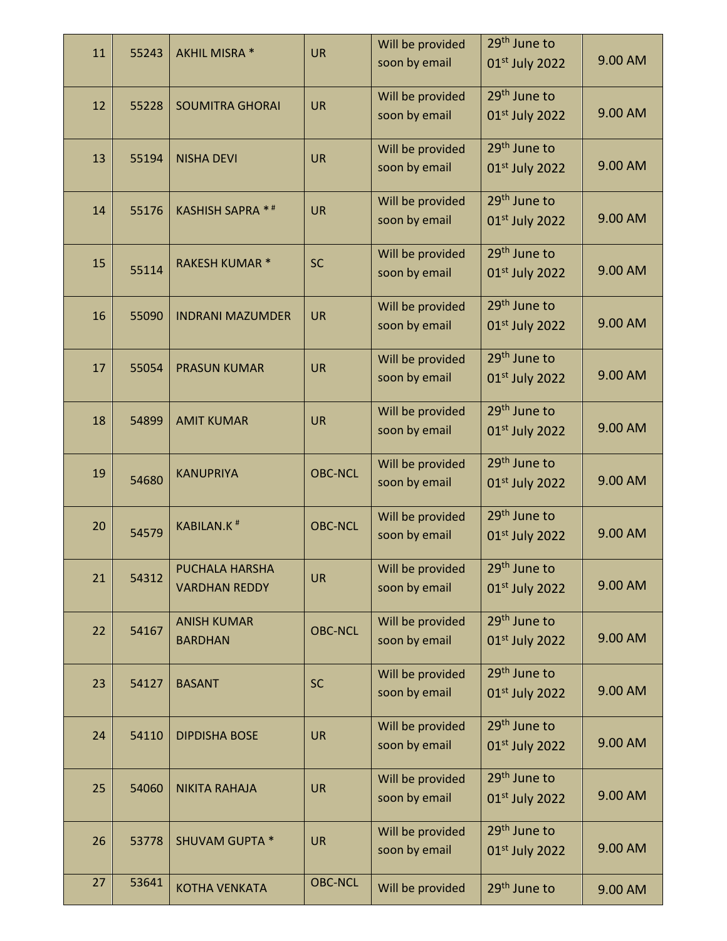| 11 | 55243 | AKHIL MISRA *                | <b>UR</b>      | Will be provided | 29 <sup>th</sup> June to |         |
|----|-------|------------------------------|----------------|------------------|--------------------------|---------|
|    |       |                              |                | soon by email    | 01st July 2022           | 9.00 AM |
|    |       |                              | <b>UR</b>      | Will be provided | 29 <sup>th</sup> June to |         |
| 12 | 55228 | <b>SOUMITRA GHORAI</b>       |                | soon by email    | 01st July 2022           | 9.00 AM |
| 13 | 55194 | <b>NISHA DEVI</b>            | <b>UR</b>      | Will be provided | 29 <sup>th</sup> June to |         |
|    |       |                              |                | soon by email    | 01st July 2022           | 9.00 AM |
| 14 | 55176 | <b>KASHISH SAPRA **</b>      | <b>UR</b>      | Will be provided | 29 <sup>th</sup> June to |         |
|    |       |                              |                | soon by email    | $01st$ July 2022         | 9.00 AM |
| 15 |       | <b>RAKESH KUMAR*</b>         | <b>SC</b>      | Will be provided | 29 <sup>th</sup> June to |         |
|    | 55114 |                              |                | soon by email    | $01st$ July 2022         | 9.00 AM |
| 16 | 55090 | <b>INDRANI MAZUMDER</b>      | <b>UR</b>      | Will be provided | 29 <sup>th</sup> June to |         |
|    |       |                              |                | soon by email    | $01st$ July 2022         | 9.00 AM |
| 17 | 55054 | <b>PRASUN KUMAR</b>          | <b>UR</b>      | Will be provided | 29 <sup>th</sup> June to |         |
|    |       |                              |                | soon by email    | $01st$ July 2022         | 9.00 AM |
| 18 | 54899 | <b>AMIT KUMAR</b>            | <b>UR</b>      | Will be provided | 29 <sup>th</sup> June to |         |
|    |       |                              |                | soon by email    | 01st July 2022           | 9.00 AM |
| 19 |       | <b>KANUPRIYA</b>             | <b>OBC-NCL</b> | Will be provided | 29 <sup>th</sup> June to |         |
|    | 54680 |                              |                | soon by email    | $01st$ July 2022         | 9.00 AM |
| 20 |       | <b>KABILAN.K<sup>#</sup></b> | <b>OBC-NCL</b> | Will be provided | 29 <sup>th</sup> June to |         |
|    | 54579 |                              |                | soon by email    | 01st July 2022           | 9.00 AM |
| 21 | 54312 | PUCHALA HARSHA               | <b>UR</b>      | Will be provided | 29 <sup>th</sup> June to |         |
|    |       | <b>VARDHAN REDDY</b>         |                | soon by email    | $01st$ July 2022         | 9.00 AM |
| 22 | 54167 | <b>ANISH KUMAR</b>           | <b>OBC-NCL</b> | Will be provided | 29 <sup>th</sup> June to |         |
|    |       | <b>BARDHAN</b>               |                | soon by email    | 01st July 2022           | 9.00 AM |
| 23 | 54127 | <b>BASANT</b>                | <b>SC</b>      | Will be provided | 29 <sup>th</sup> June to |         |
|    |       |                              |                | soon by email    | 01st July 2022           | 9.00 AM |
| 24 | 54110 | <b>DIPDISHA BOSE</b>         | <b>UR</b>      | Will be provided | 29 <sup>th</sup> June to |         |
|    |       |                              |                | soon by email    | 01st July 2022           | 9.00 AM |
| 25 | 54060 | <b>NIKITA RAHAJA</b>         | <b>UR</b>      | Will be provided | 29 <sup>th</sup> June to |         |
|    |       |                              |                | soon by email    | 01st July 2022           | 9.00 AM |
| 26 | 53778 | <b>SHUVAM GUPTA *</b>        | <b>UR</b>      | Will be provided | 29 <sup>th</sup> June to |         |
|    |       |                              |                | soon by email    | $01st$ July 2022         | 9.00 AM |
| 27 | 53641 | <b>KOTHA VENKATA</b>         | <b>OBC-NCL</b> | Will be provided | 29 <sup>th</sup> June to | 9.00 AM |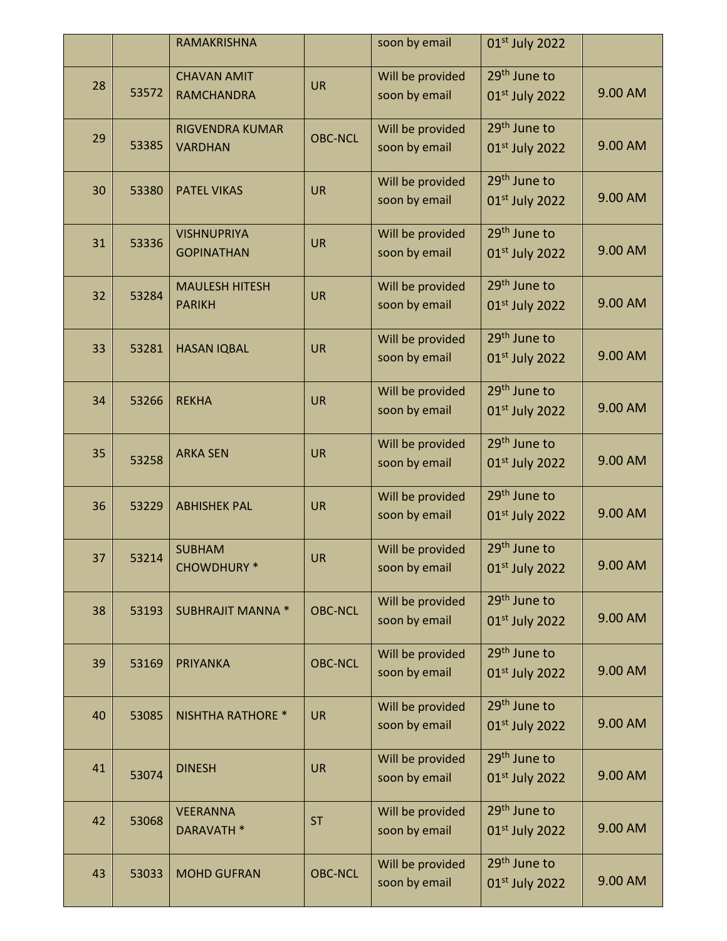|    |       | RAMAKRISHNA                              |                | soon by email                     | 01st July 2022                                         |         |
|----|-------|------------------------------------------|----------------|-----------------------------------|--------------------------------------------------------|---------|
| 28 | 53572 | <b>CHAVAN AMIT</b><br><b>RAMCHANDRA</b>  | <b>UR</b>      | Will be provided<br>soon by email | 29 <sup>th</sup> June to<br>01st July 2022             | 9.00 AM |
| 29 | 53385 | <b>RIGVENDRA KUMAR</b><br><b>VARDHAN</b> | <b>OBC-NCL</b> | Will be provided<br>soon by email | 29 <sup>th</sup> June to<br>$01st$ July 2022           | 9.00 AM |
| 30 | 53380 | <b>PATEL VIKAS</b>                       | <b>UR</b>      | Will be provided<br>soon by email | 29 <sup>th</sup> June to<br>01st July 2022             | 9.00 AM |
| 31 | 53336 | <b>VISHNUPRIYA</b><br><b>GOPINATHAN</b>  | <b>UR</b>      | Will be provided<br>soon by email | 29 <sup>th</sup> June to<br>01 <sup>st</sup> July 2022 | 9.00 AM |
| 32 | 53284 | <b>MAULESH HITESH</b><br><b>PARIKH</b>   | <b>UR</b>      | Will be provided<br>soon by email | 29 <sup>th</sup> June to<br>$01st$ July 2022           | 9.00 AM |
| 33 | 53281 | <b>HASAN IQBAL</b>                       | <b>UR</b>      | Will be provided<br>soon by email | 29 <sup>th</sup> June to<br>01st July 2022             | 9.00 AM |
| 34 | 53266 | <b>REKHA</b>                             | <b>UR</b>      | Will be provided<br>soon by email | 29 <sup>th</sup> June to<br>01st July 2022             | 9.00 AM |
| 35 | 53258 | <b>ARKA SEN</b>                          | <b>UR</b>      | Will be provided<br>soon by email | 29 <sup>th</sup> June to<br>01st July 2022             | 9.00 AM |
| 36 | 53229 | <b>ABHISHEK PAL</b>                      | <b>UR</b>      | Will be provided<br>soon by email | 29 <sup>th</sup> June to<br>$01st$ July 2022           | 9.00 AM |
| 37 | 53214 | <b>SUBHAM</b><br><b>CHOWDHURY *</b>      | <b>UR</b>      | Will be provided<br>soon by email | 29 <sup>th</sup> June to<br>01st July 2022             | 9.00 AM |
| 38 | 53193 | <b>SUBHRAJIT MANNA *</b>                 | <b>OBC-NCL</b> | Will be provided<br>soon by email | 29 <sup>th</sup> June to<br>01 <sup>st</sup> July 2022 | 9.00 AM |
| 39 | 53169 | <b>PRIYANKA</b>                          | <b>OBC-NCL</b> | Will be provided<br>soon by email | 29 <sup>th</sup> June to<br>01 <sup>st</sup> July 2022 | 9.00 AM |
| 40 | 53085 | <b>NISHTHA RATHORE *</b>                 | <b>UR</b>      | Will be provided<br>soon by email | 29 <sup>th</sup> June to<br>01st July 2022             | 9.00 AM |
| 41 | 53074 | <b>DINESH</b>                            | <b>UR</b>      | Will be provided<br>soon by email | 29 <sup>th</sup> June to<br>01st July 2022             | 9.00 AM |
| 42 | 53068 | <b>VEERANNA</b><br>DARAVATH *            | <b>ST</b>      | Will be provided<br>soon by email | 29 <sup>th</sup> June to<br>01st July 2022             | 9.00 AM |
| 43 | 53033 | <b>MOHD GUFRAN</b>                       | <b>OBC-NCL</b> | Will be provided<br>soon by email | 29 <sup>th</sup> June to<br>$01st$ July 2022           | 9.00 AM |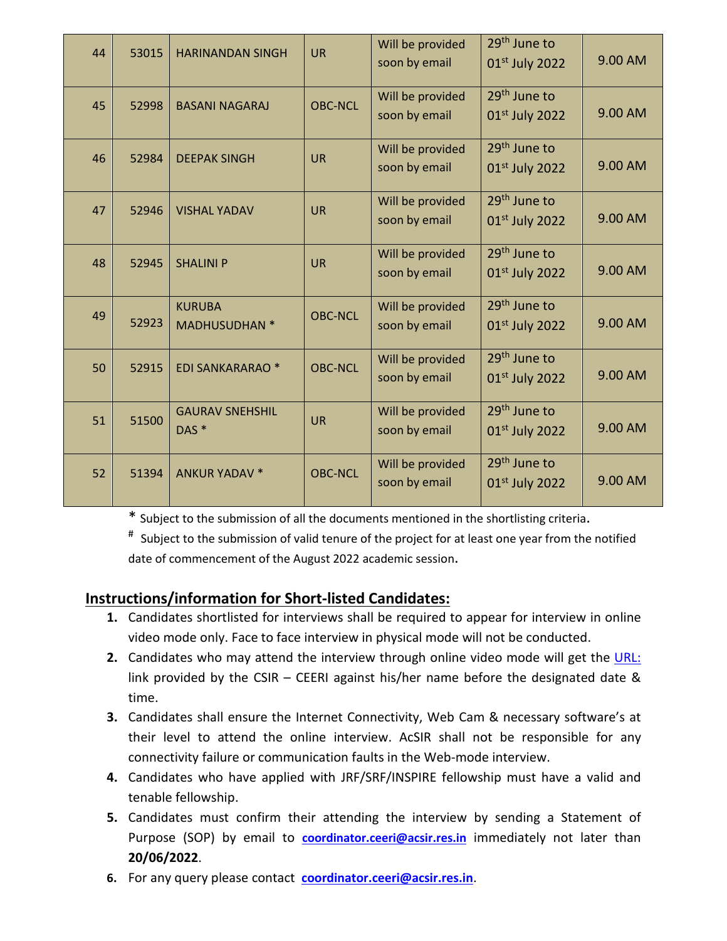| 44 | 53015 | <b>HARINANDAN SINGH</b>                    | <b>UR</b>      | Will be provided<br>soon by email | $29th$ June to<br>01 <sup>st</sup> July 2022           | 9.00 AM |
|----|-------|--------------------------------------------|----------------|-----------------------------------|--------------------------------------------------------|---------|
| 45 | 52998 | <b>BASANI NAGARAJ</b>                      | <b>OBC-NCL</b> | Will be provided<br>soon by email | 29 <sup>th</sup> June to<br>01st July 2022             | 9.00 AM |
| 46 | 52984 | <b>DEEPAK SINGH</b>                        | <b>UR</b>      | Will be provided<br>soon by email | 29 <sup>th</sup> June to<br>01st July 2022             | 9.00 AM |
| 47 | 52946 | <b>VISHAL YADAV</b>                        | <b>UR</b>      | Will be provided<br>soon by email | $29th$ June to<br>01 <sup>st</sup> July 2022           | 9.00 AM |
| 48 | 52945 | <b>SHALINI P</b>                           | <b>UR</b>      | Will be provided<br>soon by email | 29 <sup>th</sup> June to<br>01 <sup>st</sup> July 2022 | 9.00 AM |
| 49 | 52923 | <b>KURUBA</b><br><b>MADHUSUDHAN *</b>      | <b>OBC-NCL</b> | Will be provided<br>soon by email | 29 <sup>th</sup> June to<br>$01st$ July 2022           | 9.00 AM |
| 50 | 52915 | <b>EDI SANKARARAO *</b>                    | <b>OBC-NCL</b> | Will be provided<br>soon by email | 29 <sup>th</sup> June to<br>$01st$ July 2022           | 9.00 AM |
| 51 | 51500 | <b>GAURAV SNEHSHIL</b><br>DAS <sup>*</sup> | <b>UR</b>      | Will be provided<br>soon by email | 29 <sup>th</sup> June to<br>01st July 2022             | 9.00 AM |
| 52 | 51394 | <b>ANKUR YADAV *</b>                       | <b>OBC-NCL</b> | Will be provided<br>soon by email | $29th$ June to<br>$01st$ July 2022                     | 9.00 AM |

\* Subject to the submission of all the documents mentioned in the shortlisting criteria.

# Subject to the submission of valid tenure of the project for at least one year from the notified date of commencement of the August 2022 academic session.

### Instructions/information for Short-listed Candidates:

- 1. Candidates shortlisted for interviews shall be required to appear for interview in online video mode only. Face to face interview in physical mode will not be conducted.
- 2. Candidates who may attend the interview through online video mode will get the URL: link provided by the CSIR – CEERI against his/her name before the designated date & time.
- 3. Candidates shall ensure the Internet Connectivity, Web Cam & necessary software's at their level to attend the online interview. AcSIR shall not be responsible for any connectivity failure or communication faults in the Web-mode interview.
- 4. Candidates who have applied with JRF/SRF/INSPIRE fellowship must have a valid and tenable fellowship.
- 5. Candidates must confirm their attending the interview by sending a Statement of Purpose (SOP) by email to **coordinator.ceeri@acsir.res.in** immediately not later than 20/06/2022.
- 6. For any query please contact coordinator.ceeri@acsir.res.in.